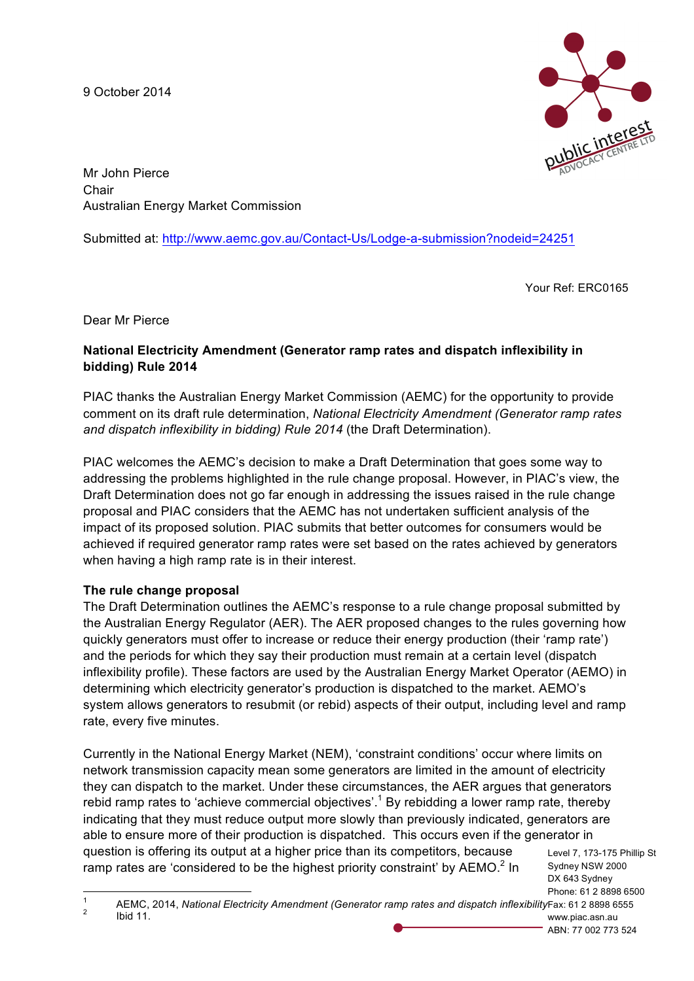9 October 2014



Mr John Pierce Chair Australian Energy Market Commission

Submitted at: http://www.aemc.gov.au/Contact-Us/Lodge-a-submission?nodeid=24251

Your Ref: ERC0165

Dear Mr Pierce

# **National Electricity Amendment (Generator ramp rates and dispatch inflexibility in bidding) Rule 2014**

PIAC thanks the Australian Energy Market Commission (AEMC) for the opportunity to provide comment on its draft rule determination, *National Electricity Amendment (Generator ramp rates and dispatch inflexibility in bidding) Rule 2014* (the Draft Determination).

PIAC welcomes the AEMC's decision to make a Draft Determination that goes some way to addressing the problems highlighted in the rule change proposal. However, in PIAC's view, the Draft Determination does not go far enough in addressing the issues raised in the rule change proposal and PIAC considers that the AEMC has not undertaken sufficient analysis of the impact of its proposed solution. PIAC submits that better outcomes for consumers would be achieved if required generator ramp rates were set based on the rates achieved by generators when having a high ramp rate is in their interest.

### **The rule change proposal**

The Draft Determination outlines the AEMC's response to a rule change proposal submitted by the Australian Energy Regulator (AER). The AER proposed changes to the rules governing how quickly generators must offer to increase or reduce their energy production (their 'ramp rate') and the periods for which they say their production must remain at a certain level (dispatch inflexibility profile). These factors are used by the Australian Energy Market Operator (AEMO) in determining which electricity generator's production is dispatched to the market. AEMO's system allows generators to resubmit (or rebid) aspects of their output, including level and ramp rate, every five minutes.

Currently in the National Energy Market (NEM), 'constraint conditions' occur where limits on network transmission capacity mean some generators are limited in the amount of electricity they can dispatch to the market. Under these circumstances, the AER argues that generators rebid ramp rates to 'achieve commercial objectives'.<sup>1</sup> By rebidding a lower ramp rate, thereby indicating that they must reduce output more slowly than previously indicated, generators are able to ensure more of their production is dispatched. This occurs even if the generator in question is offering its output at a higher price than its competitors, because ramp rates are 'considered to be the highest priority constraint' by AEMO.<sup>2</sup> In

Level 7, 173-175 Phillip St Sydney NSW 2000 DX 643 Sydney Phone: 61 2 8898 6500

ABN: 77 002 773 524

Fax: 61 2 8898 6555 www.piac.asn.au <sup>1</sup> AEMC, 2014, *National Electricity Amendment (Generator ramp rates and dispatch inflexibility* <sup>2</sup> Ibid 11.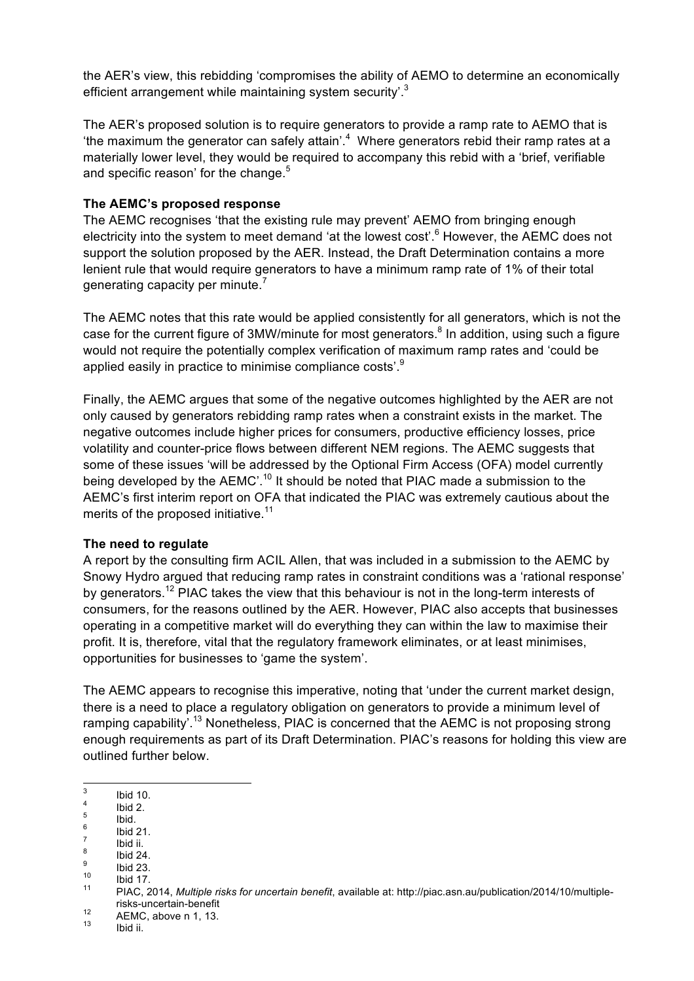the AER's view, this rebidding 'compromises the ability of AEMO to determine an economically efficient arrangement while maintaining system security'.<sup>3</sup>

The AER's proposed solution is to require generators to provide a ramp rate to AEMO that is "the maximum the generator can safely attain'. $4\,$  Where generators rebid their ramp rates at a materially lower level, they would be required to accompany this rebid with a 'brief, verifiable and specific reason' for the change.<sup>5</sup>

### **The AEMC's proposed response**

The AEMC recognises 'that the existing rule may prevent' AEMO from bringing enough electricity into the system to meet demand 'at the lowest cost'.<sup>6</sup> However, the AEMC does not support the solution proposed by the AER. Instead, the Draft Determination contains a more lenient rule that would require generators to have a minimum ramp rate of 1% of their total generating capacity per minute.<sup>7</sup>

The AEMC notes that this rate would be applied consistently for all generators, which is not the case for the current figure of 3MW/minute for most generators.<sup>8</sup> In addition, using such a figure would not require the potentially complex verification of maximum ramp rates and 'could be applied easily in practice to minimise compliance costs'.<sup>9</sup>

Finally, the AEMC argues that some of the negative outcomes highlighted by the AER are not only caused by generators rebidding ramp rates when a constraint exists in the market. The negative outcomes include higher prices for consumers, productive efficiency losses, price volatility and counter-price flows between different NEM regions. The AEMC suggests that some of these issues 'will be addressed by the Optional Firm Access (OFA) model currently being developed by the AEMC'.<sup>10</sup> It should be noted that PIAC made a submission to the AEMC's first interim report on OFA that indicated the PIAC was extremely cautious about the merits of the proposed initiative.<sup>11</sup>

### **The need to regulate**

A report by the consulting firm ACIL Allen, that was included in a submission to the AEMC by Snowy Hydro argued that reducing ramp rates in constraint conditions was a 'rational response' by generators.<sup>12</sup> PIAC takes the view that this behaviour is not in the long-term interests of consumers, for the reasons outlined by the AER. However, PIAC also accepts that businesses operating in a competitive market will do everything they can within the law to maximise their profit. It is, therefore, vital that the regulatory framework eliminates, or at least minimises, opportunities for businesses to 'game the system'.

The AEMC appears to recognise this imperative, noting that 'under the current market design, there is a need to place a regulatory obligation on generators to provide a minimum level of ramping capability'.<sup>13</sup> Nonetheless, PIAC is concerned that the AEMC is not proposing strong enough requirements as part of its Draft Determination. PIAC's reasons for holding this view are outlined further below.

- 
- 
- 
- 
- 
- 

<sup>13&</sup>lt;br>
3 Ibid 10.<br>
<sup>5</sup><br>
<sup>6</sup> Ibid 21.<br>
<sup>7</sup> Ibid ii.<br>
<sup>8</sup> Ibid 24.<br>
<sup>9</sup> Ibid 23.<br>
<sup>11</sup> PIAC, 2014, *Multiple risks for uncertain benefit*, available at: http://piac.asn.au/publication/2014/10/multiple-

risks-uncertain-benefit<br>
<sup>12</sup> AEMC, above n 1, 13.<br>
<sup>13</sup> Ibid ii.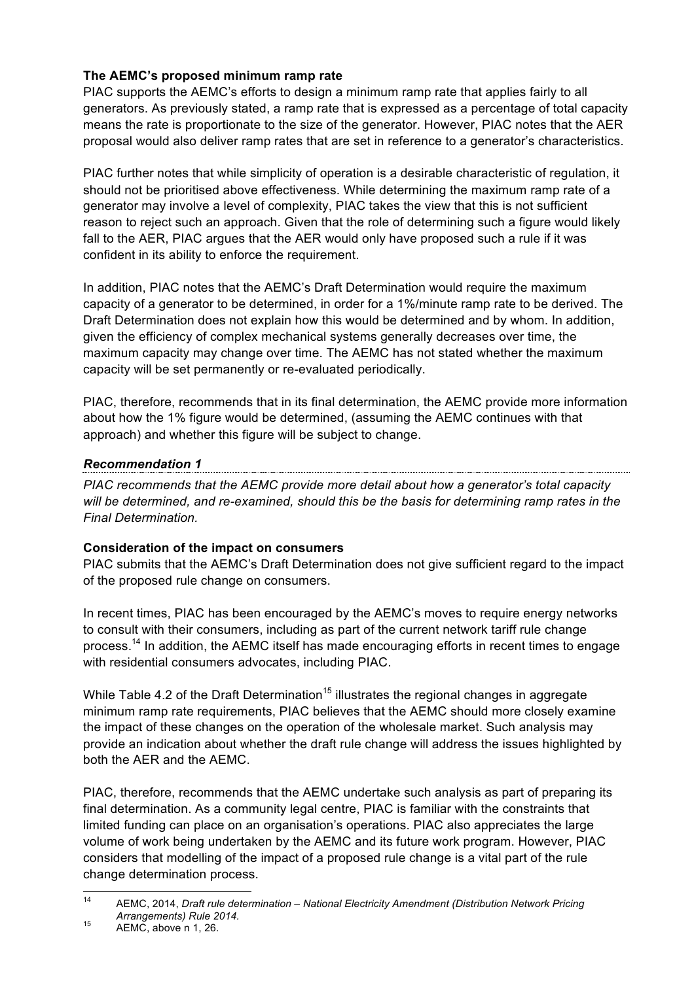# **The AEMC's proposed minimum ramp rate**

PIAC supports the AEMC's efforts to design a minimum ramp rate that applies fairly to all generators. As previously stated, a ramp rate that is expressed as a percentage of total capacity means the rate is proportionate to the size of the generator. However, PIAC notes that the AER proposal would also deliver ramp rates that are set in reference to a generator's characteristics.

PIAC further notes that while simplicity of operation is a desirable characteristic of regulation, it should not be prioritised above effectiveness. While determining the maximum ramp rate of a generator may involve a level of complexity, PIAC takes the view that this is not sufficient reason to reject such an approach. Given that the role of determining such a figure would likely fall to the AER, PIAC argues that the AER would only have proposed such a rule if it was confident in its ability to enforce the requirement.

In addition, PIAC notes that the AEMC's Draft Determination would require the maximum capacity of a generator to be determined, in order for a 1%/minute ramp rate to be derived. The Draft Determination does not explain how this would be determined and by whom. In addition, given the efficiency of complex mechanical systems generally decreases over time, the maximum capacity may change over time. The AEMC has not stated whether the maximum capacity will be set permanently or re-evaluated periodically.

PIAC, therefore, recommends that in its final determination, the AEMC provide more information about how the 1% figure would be determined, (assuming the AEMC continues with that approach) and whether this figure will be subject to change.

*Recommendation 1 PIAC recommends that the AEMC provide more detail about how a generator's total capacity will be determined, and re-examined, should this be the basis for determining ramp rates in the Final Determination.*

# **Consideration of the impact on consumers**

PIAC submits that the AEMC's Draft Determination does not give sufficient regard to the impact of the proposed rule change on consumers.

In recent times, PIAC has been encouraged by the AEMC's moves to require energy networks to consult with their consumers, including as part of the current network tariff rule change process.<sup>14</sup> In addition, the AEMC itself has made encouraging efforts in recent times to engage with residential consumers advocates, including PIAC.

While Table 4.2 of the Draft Determination<sup>15</sup> illustrates the regional changes in aggregate minimum ramp rate requirements, PIAC believes that the AEMC should more closely examine the impact of these changes on the operation of the wholesale market. Such analysis may provide an indication about whether the draft rule change will address the issues highlighted by both the AER and the AEMC.

PIAC, therefore, recommends that the AEMC undertake such analysis as part of preparing its final determination. As a community legal centre, PIAC is familiar with the constraints that limited funding can place on an organisation's operations. PIAC also appreciates the large volume of work being undertaken by the AEMC and its future work program. However, PIAC considers that modelling of the impact of a proposed rule change is a vital part of the rule change determination process.

 <sup>14</sup> AEMC, 2014, *Draft rule determination – National Electricity Amendment (Distribution Network Pricing Arrangements) Rule 2014.* <sup>15</sup> AEMC, above n 1, 26.